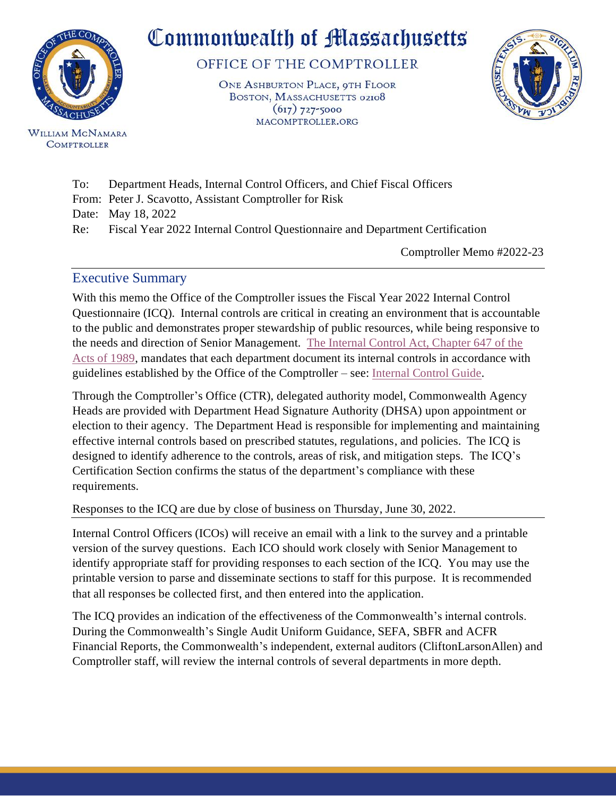

**WILLIAM MCNAMARA COMPTROLLER** 

# Commonwealth of Massachusetts

OFFICE OF THE COMPTROLLER

ONE ASHBURTON PLACE, OTH FLOOR BOSTON, MASSACHUSETTS 02108  $(617)$  727-5000 MACOMPTROLLER.ORG



- To: Department Heads, Internal Control Officers, and Chief Fiscal Officers
- From: Peter J. Scavotto, Assistant Comptroller for Risk

Date: May 18, 2022

Re: Fiscal Year 2022 Internal Control Questionnaire and Department Certification

Comptroller Memo #2022-23

## Executive Summary

With this memo the Office of the Comptroller issues the Fiscal Year 2022 Internal Control Questionnaire (ICQ). Internal controls are critical in creating an environment that is accountable to the public and demonstrates proper stewardship of public resources, while being responsive to the needs and direction of Senior Management. [The Internal Control Act, Chapter 647 of the](https://www.mass.gov/files/documents/2016/08/pt/chapter-647.pdf)  [Acts of 1989,](https://www.mass.gov/files/documents/2016/08/pt/chapter-647.pdf) mandates that each department document its internal controls in accordance with guidelines established by the Office of the Comptroller – see: [Internal](https://www.macomptroller.org/wp-content/uploads/internal-control-guide.pdf) Control Guide.

Through the Comptroller's Office (CTR), delegated authority model, Commonwealth Agency Heads are provided with Department Head Signature Authority (DHSA) upon appointment or election to their agency. The Department Head is responsible for implementing and maintaining effective internal controls based on prescribed statutes, regulations, and policies. The ICQ is designed to identify adherence to the controls, areas of risk, and mitigation steps. The ICQ's Certification Section confirms the status of the department's compliance with these requirements.

Responses to the ICQ are due by close of business on Thursday, June 30, 2022.

Internal Control Officers (ICOs) will receive an email with a link to the survey and a printable version of the survey questions. Each ICO should work closely with Senior Management to identify appropriate staff for providing responses to each section of the ICQ. You may use the printable version to parse and disseminate sections to staff for this purpose. It is recommended that all responses be collected first, and then entered into the application.

The ICQ provides an indication of the effectiveness of the Commonwealth's internal controls. During the Commonwealth's Single Audit Uniform Guidance, SEFA, SBFR and ACFR Financial Reports, the Commonwealth's independent, external auditors (CliftonLarsonAllen) and Comptroller staff, will review the internal controls of several departments in more depth.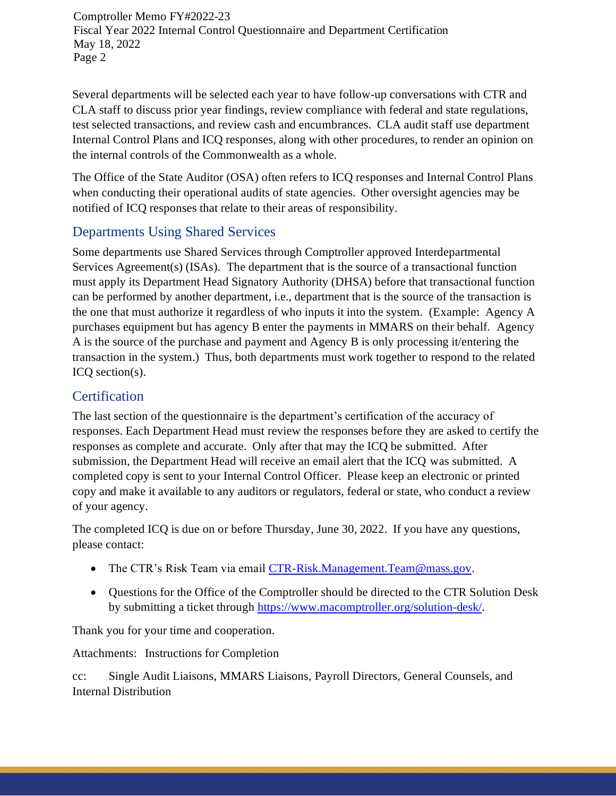Comptroller Memo FY#2022-23 Fiscal Year 2022 Internal Control Questionnaire and Department Certification May 18, 2022 Page 2

Several departments will be selected each year to have follow-up conversations with CTR and CLA staff to discuss prior year findings, review compliance with federal and state regulations, test selected transactions, and review cash and encumbrances. CLA audit staff use department Internal Control Plans and ICQ responses, along with other procedures, to render an opinion on the internal controls of the Commonwealth as a whole.

The Office of the State Auditor (OSA) often refers to ICQ responses and Internal Control Plans when conducting their operational audits of state agencies. Other oversight agencies may be notified of ICQ responses that relate to their areas of responsibility.

# Departments Using Shared Services

Some departments use Shared Services through Comptroller approved Interdepartmental Services Agreement(s) (ISAs). The department that is the source of a transactional function must apply its Department Head Signatory Authority (DHSA) before that transactional function can be performed by another department, i.e., department that is the source of the transaction is the one that must authorize it regardless of who inputs it into the system. (Example: Agency A purchases equipment but has agency B enter the payments in MMARS on their behalf. Agency A is the source of the purchase and payment and Agency B is only processing it/entering the transaction in the system.) Thus, both departments must work together to respond to the related ICQ section(s).

# **Certification**

The last section of the questionnaire is the department's certification of the accuracy of responses. Each Department Head must review the responses before they are asked to certify the responses as complete and accurate. Only after that may the ICQ be submitted. After submission, the Department Head will receive an email alert that the ICQ was submitted. A completed copy is sent to your Internal Control Officer. Please keep an electronic or printed copy and make it available to any auditors or regulators, federal or state, who conduct a review of your agency.

The completed ICQ is due on or before Thursday, June 30, 2022. If you have any questions, please contact:

- The CTR's Risk Team via email [CTR-Risk.Management.Team@mass.gov.](mailto:CTR-Risk.Management.Team@mass.gov)
- Questions for the Office of the Comptroller should be directed to the CTR Solution Desk by submitting a ticket through [https://www.macomptroller.org/solution-desk/.](https://www.macomptroller.org/solution-desk/)

Thank you for your time and cooperation.

Attachments: Instructions for Completion

cc: Single Audit Liaisons, MMARS Liaisons, Payroll Directors, General Counsels, and Internal Distribution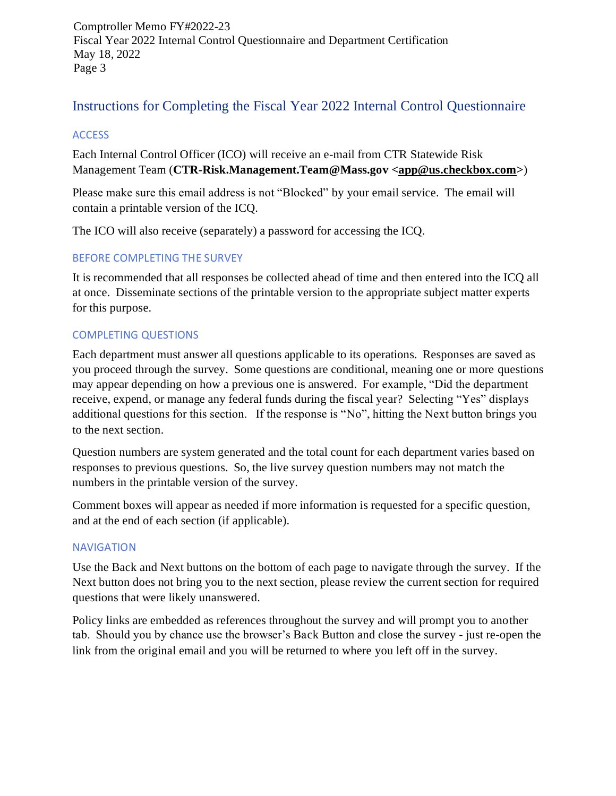Comptroller Memo FY#2022-23 Fiscal Year 2022 Internal Control Questionnaire and Department Certification May 18, 2022 Page 3

# Instructions for Completing the Fiscal Year 2022 Internal Control Questionnaire

### **ACCESS**

Each Internal Control Officer (ICO) will receive an e-mail from CTR Statewide Risk Management Team (**CTR-Risk.Management.Team@Mass.gov <app@us.checkbox.com>**)

Please make sure this email address is not "Blocked" by your email service. The email will contain a printable version of the ICQ.

The ICO will also receive (separately) a password for accessing the ICQ.

## BEFORE COMPLETING THE SURVEY

It is recommended that all responses be collected ahead of time and then entered into the ICQ all at once. Disseminate sections of the printable version to the appropriate subject matter experts for this purpose.

## COMPLETING QUESTIONS

Each department must answer all questions applicable to its operations. Responses are saved as you proceed through the survey. Some questions are conditional, meaning one or more questions may appear depending on how a previous one is answered. For example, "Did the department receive, expend, or manage any federal funds during the fiscal year? Selecting "Yes" displays additional questions for this section. If the response is "No", hitting the Next button brings you to the next section.

Question numbers are system generated and the total count for each department varies based on responses to previous questions. So, the live survey question numbers may not match the numbers in the printable version of the survey.

Comment boxes will appear as needed if more information is requested for a specific question, and at the end of each section (if applicable).

### **NAVIGATION**

Use the Back and Next buttons on the bottom of each page to navigate through the survey. If the Next button does not bring you to the next section, please review the current section for required questions that were likely unanswered.

Policy links are embedded as references throughout the survey and will prompt you to another tab. Should you by chance use the browser's Back Button and close the survey - just re-open the link from the original email and you will be returned to where you left off in the survey.